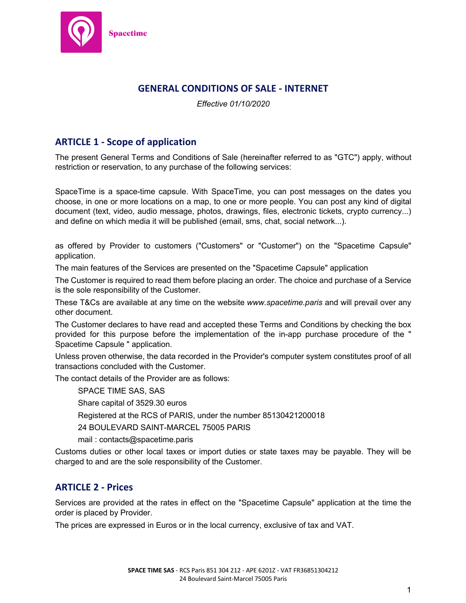

# **GENERAL CONDITIONS OF SALE - INTERNET**

*Effective 01/10/2020*

# **ARTICLE 1 - Scope of application**

The present General Terms and Conditions of Sale (hereinafter referred to as "GTC") apply, without restriction or reservation, to any purchase of the following services:

SpaceTime is a space-time capsule. With SpaceTime, you can post messages on the dates you choose, in one or more locations on a map, to one or more people. You can post any kind of digital document (text, video, audio message, photos, drawings, files, electronic tickets, crypto currency...) and define on which media it will be published (email, sms, chat, social network...).

as offered by Provider to customers ("Customers" or "Customer") on the "Spacetime Capsule" application.

The main features of the Services are presented on the "Spacetime Capsule" application

The Customer is required to read them before placing an order. The choice and purchase of a Service is the sole responsibility of the Customer.

These T&Cs are available at any time on the website *www.spacetime.paris* and will prevail over any other document.

The Customer declares to have read and accepted these Terms and Conditions by checking the box provided for this purpose before the implementation of the in-app purchase procedure of the " Spacetime Capsule " application.

Unless proven otherwise, the data recorded in the Provider's computer system constitutes proof of all transactions concluded with the Customer.

The contact details of the Provider are as follows:

SPACE TIME SAS, SAS

Share capital of 3529.30 euros

Registered at the RCS of PARIS, under the number 85130421200018

24 BOULEVARD SAINT-MARCEL 75005 PARIS

mail : contacts@spacetime.paris

Customs duties or other local taxes or import duties or state taxes may be payable. They will be charged to and are the sole responsibility of the Customer.

## **ARTICLE 2 - Prices**

Services are provided at the rates in effect on the "Spacetime Capsule" application at the time the order is placed by Provider.

The prices are expressed in Euros or in the local currency, exclusive of tax and VAT.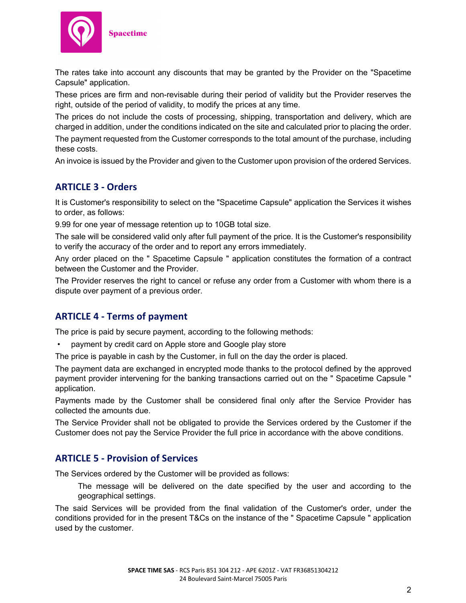

The rates take into account any discounts that may be granted by the Provider on the "Spacetime Capsule" application.

These prices are firm and non-revisable during their period of validity but the Provider reserves the right, outside of the period of validity, to modify the prices at any time.

The prices do not include the costs of processing, shipping, transportation and delivery, which are charged in addition, under the conditions indicated on the site and calculated prior to placing the order.

The payment requested from the Customer corresponds to the total amount of the purchase, including these costs.

An invoice is issued by the Provider and given to the Customer upon provision of the ordered Services.

## **ARTICLE 3 - Orders**

It is Customer's responsibility to select on the "Spacetime Capsule" application the Services it wishes to order, as follows:

9.99 for one year of message retention up to 10GB total size.

The sale will be considered valid only after full payment of the price. It is the Customer's responsibility to verify the accuracy of the order and to report any errors immediately.

Any order placed on the " Spacetime Capsule " application constitutes the formation of a contract between the Customer and the Provider.

The Provider reserves the right to cancel or refuse any order from a Customer with whom there is a dispute over payment of a previous order.

## **ARTICLE 4 - Terms of payment**

The price is paid by secure payment, according to the following methods:

• payment by credit card on Apple store and Google play store

The price is payable in cash by the Customer, in full on the day the order is placed.

The payment data are exchanged in encrypted mode thanks to the protocol defined by the approved payment provider intervening for the banking transactions carried out on the " Spacetime Capsule " application.

Payments made by the Customer shall be considered final only after the Service Provider has collected the amounts due.

The Service Provider shall not be obligated to provide the Services ordered by the Customer if the Customer does not pay the Service Provider the full price in accordance with the above conditions.

## **ARTICLE 5 - Provision of Services**

The Services ordered by the Customer will be provided as follows:

The message will be delivered on the date specified by the user and according to the geographical settings.

The said Services will be provided from the final validation of the Customer's order, under the conditions provided for in the present T&Cs on the instance of the " Spacetime Capsule " application used by the customer.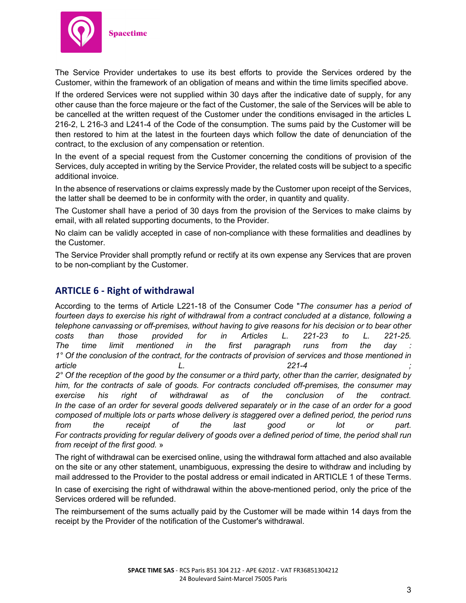

The Service Provider undertakes to use its best efforts to provide the Services ordered by the Customer, within the framework of an obligation of means and within the time limits specified above.

If the ordered Services were not supplied within 30 days after the indicative date of supply, for any other cause than the force majeure or the fact of the Customer, the sale of the Services will be able to be cancelled at the written request of the Customer under the conditions envisaged in the articles L 216-2, L 216-3 and L241-4 of the Code of the consumption. The sums paid by the Customer will be then restored to him at the latest in the fourteen days which follow the date of denunciation of the contract, to the exclusion of any compensation or retention.

In the event of a special request from the Customer concerning the conditions of provision of the Services, duly accepted in writing by the Service Provider, the related costs will be subject to a specific additional invoice.

In the absence of reservations or claims expressly made by the Customer upon receipt of the Services, the latter shall be deemed to be in conformity with the order, in quantity and quality.

The Customer shall have a period of 30 days from the provision of the Services to make claims by email, with all related supporting documents, to the Provider.

No claim can be validly accepted in case of non-compliance with these formalities and deadlines by the Customer.

The Service Provider shall promptly refund or rectify at its own expense any Services that are proven to be non-compliant by the Customer.

# **ARTICLE 6 - Right of withdrawal**

According to the terms of Article L221-18 of the Consumer Code "*The consumer has a period of*  fourteen days to exercise his right of withdrawal from a contract concluded at a distance, following a *telephone canvassing or off-premises, without having to give reasons for his decision or to bear other costs than those provided for in Articles L. 221-23 to L. 221-25. The time limit mentioned in the first paragraph runs from the day : 1° Of the conclusion of the contract, for the contracts of provision of services and those mentioned in article L. 221-4 ; 2° Of the reception of the good by the consumer or a third party, other than the carrier, designated by him, for the contracts of sale of goods. For contracts concluded off-premises, the consumer may exercise his right of withdrawal as of the conclusion of the contract. In the case of an order for several goods delivered separately or in the case of an order for a good composed of multiple lots or parts whose delivery is staggered over a defined period, the period runs from the receipt of the last good or lot or part. For contracts providing for regular delivery of goods over a defined period of time, the period shall run from receipt of the first good.* »

The right of withdrawal can be exercised online, using the withdrawal form attached and also available on the site or any other statement, unambiguous, expressing the desire to withdraw and including by mail addressed to the Provider to the postal address or email indicated in ARTICLE 1 of these Terms.

In case of exercising the right of withdrawal within the above-mentioned period, only the price of the Services ordered will be refunded.

The reimbursement of the sums actually paid by the Customer will be made within 14 days from the receipt by the Provider of the notification of the Customer's withdrawal.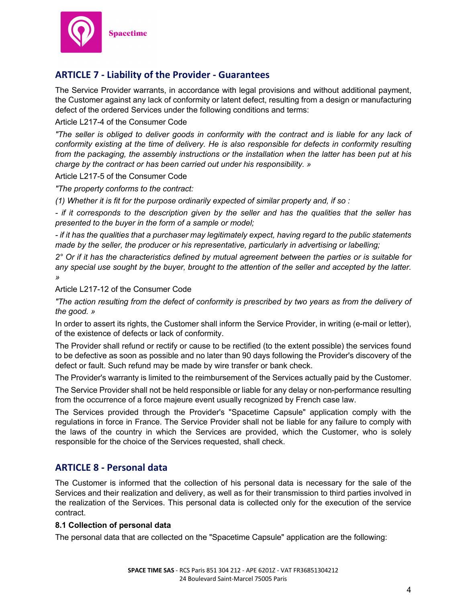

# **ARTICLE 7 - Liability of the Provider - Guarantees**

The Service Provider warrants, in accordance with legal provisions and without additional payment, the Customer against any lack of conformity or latent defect, resulting from a design or manufacturing defect of the ordered Services under the following conditions and terms:

## Article L217-4 of the Consumer Code

*"The seller is obliged to deliver goods in conformity with the contract and is liable for any lack of conformity existing at the time of delivery. He is also responsible for defects in conformity resulting from the packaging, the assembly instructions or the installation when the latter has been put at his charge by the contract or has been carried out under his responsibility. »*

### Article L217-5 of the Consumer Code

*"The property conforms to the contract:*

*(1) Whether it is fit for the purpose ordinarily expected of similar property and, if so :*

*- if it corresponds to the description given by the seller and has the qualities that the seller has presented to the buyer in the form of a sample or model;*

*- if it has the qualities that a purchaser may legitimately expect, having regard to the public statements made by the seller, the producer or his representative, particularly in advertising or labelling;*

*2° Or if it has the characteristics defined by mutual agreement between the parties or is suitable for any special use sought by the buyer, brought to the attention of the seller and accepted by the latter. »*

### Article L217-12 of the Consumer Code

*"The action resulting from the defect of conformity is prescribed by two years as from the delivery of the good. »*

In order to assert its rights, the Customer shall inform the Service Provider, in writing (e-mail or letter), of the existence of defects or lack of conformity.

The Provider shall refund or rectify or cause to be rectified (to the extent possible) the services found to be defective as soon as possible and no later than 90 days following the Provider's discovery of the defect or fault. Such refund may be made by wire transfer or bank check.

The Provider's warranty is limited to the reimbursement of the Services actually paid by the Customer.

The Service Provider shall not be held responsible or liable for any delay or non-performance resulting from the occurrence of a force majeure event usually recognized by French case law.

The Services provided through the Provider's "Spacetime Capsule" application comply with the regulations in force in France. The Service Provider shall not be liable for any failure to comply with the laws of the country in which the Services are provided, which the Customer, who is solely responsible for the choice of the Services requested, shall check.

# **ARTICLE 8 - Personal data**

The Customer is informed that the collection of his personal data is necessary for the sale of the Services and their realization and delivery, as well as for their transmission to third parties involved in the realization of the Services. This personal data is collected only for the execution of the service contract.

### **8.1 Collection of personal data**

The personal data that are collected on the "Spacetime Capsule" application are the following: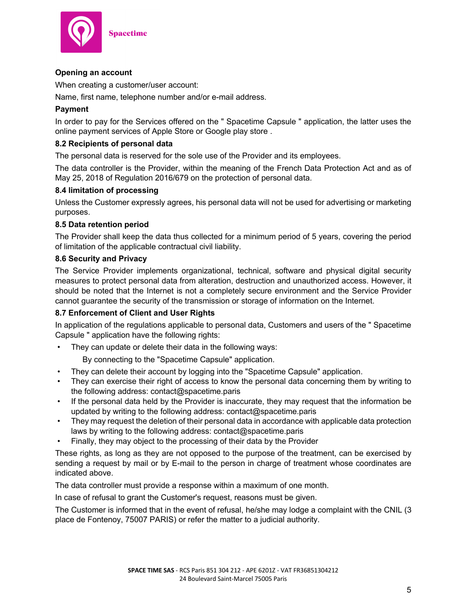

## **Opening an account**

When creating a customer/user account:

Name, first name, telephone number and/or e-mail address.

## **Payment**

In order to pay for the Services offered on the " Spacetime Capsule " application, the latter uses the online payment services of Apple Store or Google play store .

## **8.2 Recipients of personal data**

The personal data is reserved for the sole use of the Provider and its employees.

The data controller is the Provider, within the meaning of the French Data Protection Act and as of May 25, 2018 of Regulation 2016/679 on the protection of personal data.

### **8.4 limitation of processing**

Unless the Customer expressly agrees, his personal data will not be used for advertising or marketing purposes.

### **8.5 Data retention period**

The Provider shall keep the data thus collected for a minimum period of 5 years, covering the period of limitation of the applicable contractual civil liability.

### **8.6 Security and Privacy**

The Service Provider implements organizational, technical, software and physical digital security measures to protect personal data from alteration, destruction and unauthorized access. However, it should be noted that the Internet is not a completely secure environment and the Service Provider cannot guarantee the security of the transmission or storage of information on the Internet.

### **8.7 Enforcement of Client and User Rights**

In application of the regulations applicable to personal data, Customers and users of the " Spacetime Capsule " application have the following rights:

• They can update or delete their data in the following ways:

By connecting to the "Spacetime Capsule" application.

- They can delete their account by logging into the "Spacetime Capsule" application.
- They can exercise their right of access to know the personal data concerning them by writing to the following address: contact@spacetime.paris
- If the personal data held by the Provider is inaccurate, they may request that the information be updated by writing to the following address: contact@spacetime.paris
- They may request the deletion of their personal data in accordance with applicable data protection laws by writing to the following address: contact@spacetime.paris
- Finally, they may object to the processing of their data by the Provider

These rights, as long as they are not opposed to the purpose of the treatment, can be exercised by sending a request by mail or by E-mail to the person in charge of treatment whose coordinates are indicated above.

The data controller must provide a response within a maximum of one month.

In case of refusal to grant the Customer's request, reasons must be given.

The Customer is informed that in the event of refusal, he/she may lodge a complaint with the CNIL (3 place de Fontenoy, 75007 PARIS) or refer the matter to a judicial authority.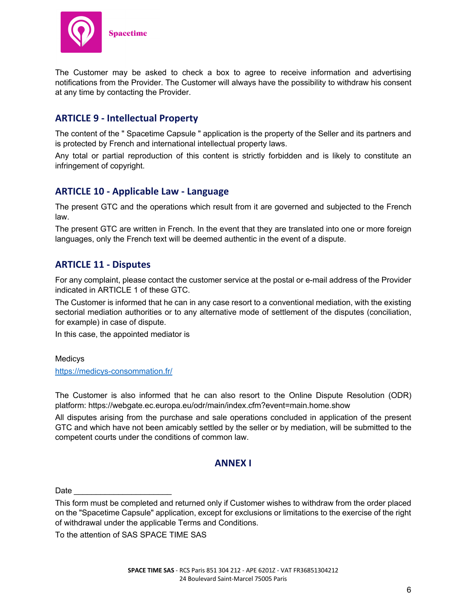

The Customer may be asked to check a box to agree to receive information and advertising notifications from the Provider. The Customer will always have the possibility to withdraw his consent at any time by contacting the Provider.

# **ARTICLE 9 - Intellectual Property**

The content of the " Spacetime Capsule " application is the property of the Seller and its partners and is protected by French and international intellectual property laws.

Any total or partial reproduction of this content is strictly forbidden and is likely to constitute an infringement of copyright.

# **ARTICLE 10 - Applicable Law - Language**

The present GTC and the operations which result from it are governed and subjected to the French law.

The present GTC are written in French. In the event that they are translated into one or more foreign languages, only the French text will be deemed authentic in the event of a dispute.

## **ARTICLE 11 - Disputes**

For any complaint, please contact the customer service at the postal or e-mail address of the Provider indicated in ARTICLE 1 of these GTC.

The Customer is informed that he can in any case resort to a conventional mediation, with the existing sectorial mediation authorities or to any alternative mode of settlement of the disputes (conciliation, for example) in case of dispute.

In this case, the appointed mediator is

Medicys https://medicys-consommation.fr/

The Customer is also informed that he can also resort to the Online Dispute Resolution (ODR) platform: https://webgate.ec.europa.eu/odr/main/index.cfm?event=main.home.show

All disputes arising from the purchase and sale operations concluded in application of the present GTC and which have not been amicably settled by the seller or by mediation, will be submitted to the competent courts under the conditions of common law.

## **ANNEX I**

Date *\_\_\_\_\_\_\_\_\_\_\_\_\_\_\_\_\_\_\_\_\_\_*

This form must be completed and returned only if Customer wishes to withdraw from the order placed on the "Spacetime Capsule" application, except for exclusions or limitations to the exercise of the right of withdrawal under the applicable Terms and Conditions.

To the attention of SAS SPACE TIME SAS